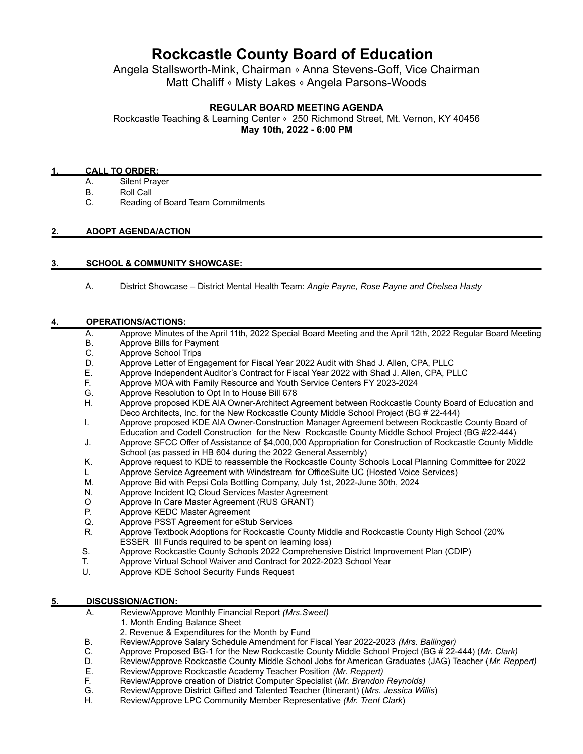# **Rockcastle County Board of Education**

Angela Stallsworth-Mink, Chairman 
Reforman Stevens-Goff, Vice Chairman Matt Chaliff • Misty Lakes • Angela Parsons-Woods

### **REGULAR BOARD MEETING AGENDA**

Rockcastle Teaching & Learning Center • 250 Richmond Street, Mt. Vernon, KY 40456 **May 10th, 2022 - 6:00 PM**

#### **1. CALL TO ORDER:**

- A. Silent Prayer
- B. Roll Call
- C. Reading of Board Team Commitments

#### **2. ADOPT AGENDA/ACTION**

#### **3. SCHOOL & COMMUNITY SHOWCASE:**

A. District Showcase – District Mental Health Team: *Angie Payne, Rose Payne and Chelsea Hasty*

#### **4. OPERATIONS/ACTIONS:**

- A. Approve Minutes of the April 11th, 2022 Special Board Meeting and the April 12th, 2022 Regular Board Meeting
- B. Approve Bills for Payment
- C. Approve School Trips<br>D. Approve Letter of Eng
- Approve Letter of Engagement for Fiscal Year 2022 Audit with Shad J. Allen, CPA, PLLC
- E. Approve Independent Auditor's Contract for Fiscal Year 2022 with Shad J. Allen, CPA, PLLC
- F. Approve MOA with Family Resource and Youth Service Centers FY 2023-2024
- G. Approve Resolution to Opt In to House Bill 678
- H. Approve proposed KDE AIA Owner-Architect Agreement between Rockcastle County Board of Education and Deco Architects, Inc. for the New Rockcastle County Middle School Project (BG # 22-444)
- I. Approve proposed KDE AIA Owner-Construction Manager Agreement between Rockcastle County Board of Education and Codell Construction for the New Rockcastle County Middle School Project (BG #22-444)
- J. Approve SFCC Offer of Assistance of \$4,000,000 Appropriation for Construction of Rockcastle County Middle School (as passed in HB 604 during the 2022 General Assembly)
- K. Approve request to KDE to reassemble the Rockcastle County Schools Local Planning Committee for 2022
- L Approve Service Agreement with Windstream for OfficeSuite UC (Hosted Voice Services)
- M. Approve Bid with Pepsi Cola Bottling Company, July 1st, 2022-June 30th, 2024
- N. Approve Incident IQ Cloud Services Master Agreement
- O Approve In Care Master Agreement (RUS GRANT)<br>P. Approve KEDC Master Agreement
- Approve KEDC Master Agreement
- Q. Approve PSST Agreement for eStub Services
- R. Approve Textbook Adoptions for Rockcastle County Middle and Rockcastle County High School (20% ESSER III Funds required to be spent on learning loss)
- S. Approve Rockcastle County Schools 2022 Comprehensive District Improvement Plan (CDIP)<br>T. Approve Virtual School Waiver and Contract for 2022-2023 School Year
- T. Approve Virtual School Waiver and Contract for 2022-2023 School Year
- Approve KDE School Security Funds Request

#### **5. DISCUSSION/ACTION:**

A. Review/Approve Monthly Financial Report *(Mrs.Sweet)*

- 1. Month Ending Balance Sheet
- 2. Revenue & Expenditures for the Month by Fund
- B. Review/Approve Salary Schedule Amendment for Fiscal Year 2022-2023 *(Mrs. Ballinger)*
- C. Approve Proposed BG-1 for the New Rockcastle County Middle School Project (BG # 22-444) (*Mr. Clark)*
- D. Review/Approve Rockcastle County Middle School Jobs for American Graduates (JAG) Teacher (*Mr. Reppert)*
- E*.* Review/Approve Rockcastle Academy Teacher Position *(Mr. Reppert)*
- F. Review/Approve creation of District Computer Specialist (*Mr. Brandon Reynolds)*
- G. Review/Approve District Gifted and Talented Teacher (Itinerant) (*Mrs. Jessica Willis*)
- H. Review/Approve LPC Community Member Representative *(Mr. Trent Clark*)